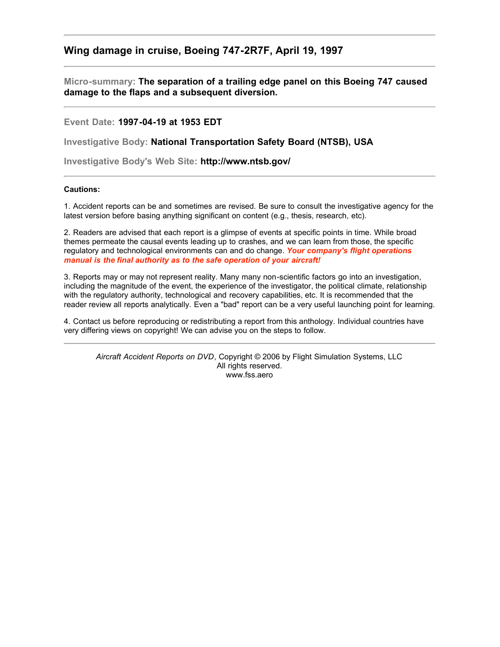## **Wing damage in cruise, Boeing 747-2R7F, April 19, 1997**

**Micro-summary: The separation of a trailing edge panel on this Boeing 747 caused damage to the flaps and a subsequent diversion.**

**Event Date: 1997-04-19 at 1953 EDT**

**Investigative Body: National Transportation Safety Board (NTSB), USA**

**Investigative Body's Web Site: http://www.ntsb.gov/**

## **Cautions:**

1. Accident reports can be and sometimes are revised. Be sure to consult the investigative agency for the latest version before basing anything significant on content (e.g., thesis, research, etc).

2. Readers are advised that each report is a glimpse of events at specific points in time. While broad themes permeate the causal events leading up to crashes, and we can learn from those, the specific regulatory and technological environments can and do change. *Your company's flight operations manual is the final authority as to the safe operation of your aircraft!*

3. Reports may or may not represent reality. Many many non-scientific factors go into an investigation, including the magnitude of the event, the experience of the investigator, the political climate, relationship with the regulatory authority, technological and recovery capabilities, etc. It is recommended that the reader review all reports analytically. Even a "bad" report can be a very useful launching point for learning.

4. Contact us before reproducing or redistributing a report from this anthology. Individual countries have very differing views on copyright! We can advise you on the steps to follow.

*Aircraft Accident Reports on DVD*, Copyright © 2006 by Flight Simulation Systems, LLC All rights reserved. www.fss.aero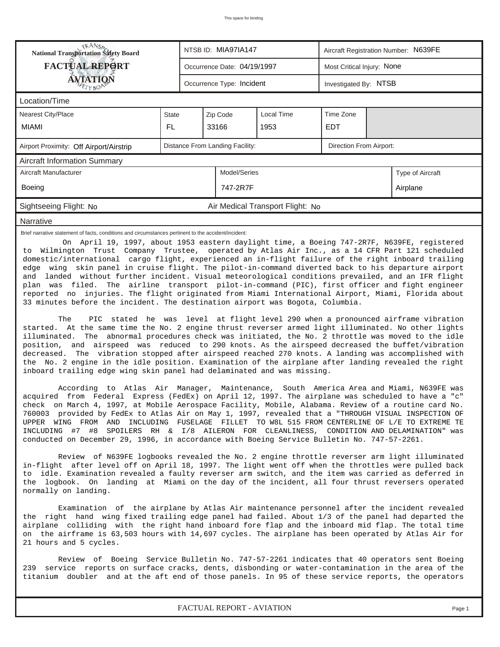| <b>National Transportation Safety Board</b>                                                                                                                                                                                                                                                                                                                                                                                                                                                                                                                                                                                                                                                                                                                                                                                                                                                                                                                                                                                                                                                                                                                                                                                                                                                                                                                                                                                                                                                                                                                                                                                                                                                                                                                                                                                                                                                                                                                                    |       | NTSB ID: MIA97IA147<br>Aircraft Registration Number: N639FE |                                 |                                  |                            |                  |                                                                                                                                                                                                                                                  |  |
|--------------------------------------------------------------------------------------------------------------------------------------------------------------------------------------------------------------------------------------------------------------------------------------------------------------------------------------------------------------------------------------------------------------------------------------------------------------------------------------------------------------------------------------------------------------------------------------------------------------------------------------------------------------------------------------------------------------------------------------------------------------------------------------------------------------------------------------------------------------------------------------------------------------------------------------------------------------------------------------------------------------------------------------------------------------------------------------------------------------------------------------------------------------------------------------------------------------------------------------------------------------------------------------------------------------------------------------------------------------------------------------------------------------------------------------------------------------------------------------------------------------------------------------------------------------------------------------------------------------------------------------------------------------------------------------------------------------------------------------------------------------------------------------------------------------------------------------------------------------------------------------------------------------------------------------------------------------------------------|-------|-------------------------------------------------------------|---------------------------------|----------------------------------|----------------------------|------------------|--------------------------------------------------------------------------------------------------------------------------------------------------------------------------------------------------------------------------------------------------|--|
| <b>FACTUAL REPORT</b>                                                                                                                                                                                                                                                                                                                                                                                                                                                                                                                                                                                                                                                                                                                                                                                                                                                                                                                                                                                                                                                                                                                                                                                                                                                                                                                                                                                                                                                                                                                                                                                                                                                                                                                                                                                                                                                                                                                                                          |       |                                                             | Occurrence Date: 04/19/1997     |                                  | Most Critical Injury: None |                  |                                                                                                                                                                                                                                                  |  |
| <b>AVIATION</b>                                                                                                                                                                                                                                                                                                                                                                                                                                                                                                                                                                                                                                                                                                                                                                                                                                                                                                                                                                                                                                                                                                                                                                                                                                                                                                                                                                                                                                                                                                                                                                                                                                                                                                                                                                                                                                                                                                                                                                |       |                                                             | Occurrence Type: Incident       |                                  | Investigated By: NTSB      |                  |                                                                                                                                                                                                                                                  |  |
| Location/Time                                                                                                                                                                                                                                                                                                                                                                                                                                                                                                                                                                                                                                                                                                                                                                                                                                                                                                                                                                                                                                                                                                                                                                                                                                                                                                                                                                                                                                                                                                                                                                                                                                                                                                                                                                                                                                                                                                                                                                  |       |                                                             |                                 |                                  |                            |                  |                                                                                                                                                                                                                                                  |  |
| <b>Nearest City/Place</b>                                                                                                                                                                                                                                                                                                                                                                                                                                                                                                                                                                                                                                                                                                                                                                                                                                                                                                                                                                                                                                                                                                                                                                                                                                                                                                                                                                                                                                                                                                                                                                                                                                                                                                                                                                                                                                                                                                                                                      | State |                                                             |                                 | Local Time                       | Time Zone                  |                  |                                                                                                                                                                                                                                                  |  |
| <b>MIAMI</b>                                                                                                                                                                                                                                                                                                                                                                                                                                                                                                                                                                                                                                                                                                                                                                                                                                                                                                                                                                                                                                                                                                                                                                                                                                                                                                                                                                                                                                                                                                                                                                                                                                                                                                                                                                                                                                                                                                                                                                   | FL.   |                                                             | 33166                           | 1953                             | <b>EDT</b>                 |                  |                                                                                                                                                                                                                                                  |  |
| Airport Proximity: Off Airport/Airstrip                                                                                                                                                                                                                                                                                                                                                                                                                                                                                                                                                                                                                                                                                                                                                                                                                                                                                                                                                                                                                                                                                                                                                                                                                                                                                                                                                                                                                                                                                                                                                                                                                                                                                                                                                                                                                                                                                                                                        |       |                                                             | Distance From Landing Facility: |                                  | Direction From Airport:    |                  |                                                                                                                                                                                                                                                  |  |
| <b>Aircraft Information Summary</b>                                                                                                                                                                                                                                                                                                                                                                                                                                                                                                                                                                                                                                                                                                                                                                                                                                                                                                                                                                                                                                                                                                                                                                                                                                                                                                                                                                                                                                                                                                                                                                                                                                                                                                                                                                                                                                                                                                                                            |       |                                                             |                                 |                                  |                            |                  |                                                                                                                                                                                                                                                  |  |
| Aircraft Manufacturer                                                                                                                                                                                                                                                                                                                                                                                                                                                                                                                                                                                                                                                                                                                                                                                                                                                                                                                                                                                                                                                                                                                                                                                                                                                                                                                                                                                                                                                                                                                                                                                                                                                                                                                                                                                                                                                                                                                                                          |       |                                                             | Model/Series                    |                                  |                            | Type of Aircraft |                                                                                                                                                                                                                                                  |  |
| Boeing                                                                                                                                                                                                                                                                                                                                                                                                                                                                                                                                                                                                                                                                                                                                                                                                                                                                                                                                                                                                                                                                                                                                                                                                                                                                                                                                                                                                                                                                                                                                                                                                                                                                                                                                                                                                                                                                                                                                                                         |       |                                                             | 747-2R7F                        |                                  | Airplane                   |                  |                                                                                                                                                                                                                                                  |  |
| Sightseeing Flight: No                                                                                                                                                                                                                                                                                                                                                                                                                                                                                                                                                                                                                                                                                                                                                                                                                                                                                                                                                                                                                                                                                                                                                                                                                                                                                                                                                                                                                                                                                                                                                                                                                                                                                                                                                                                                                                                                                                                                                         |       |                                                             |                                 | Air Medical Transport Flight: No |                            |                  |                                                                                                                                                                                                                                                  |  |
| Narrative                                                                                                                                                                                                                                                                                                                                                                                                                                                                                                                                                                                                                                                                                                                                                                                                                                                                                                                                                                                                                                                                                                                                                                                                                                                                                                                                                                                                                                                                                                                                                                                                                                                                                                                                                                                                                                                                                                                                                                      |       |                                                             |                                 |                                  |                            |                  |                                                                                                                                                                                                                                                  |  |
| to Wilmington Trust Company Trustee, operated by Atlas Air Inc., as a 14 CFR Part 121 scheduled<br>domestic/international cargo flight, experienced an in-flight failure of the right inboard trailing<br>edge wing skin panel in cruise flight. The pilot-in-command diverted back to his departure airport<br>and landed without further incident. Visual meteorological conditions prevailed, and an IFR flight<br>plan was filed.<br>reported no injuries. The flight originated from Miami International Airport, Miami, Florida about<br>33 minutes before the incident. The destination airport was Bogota, Columbia.<br>The<br>started. At the same time the No. 2 engine thrust reverser armed light illuminated. No other lights<br>The abnormal procedures check was initiated, the No. 2 throttle was moved to the idle<br>illuminated.<br>position, and airspeed was reduced to 290 knots. As the airspeed decreased the buffet/vibration<br>The vibration stopped after airspeed reached 270 knots. A landing was accomplished with<br>decreased.<br>the No. 2 engine in the idle position. Examination of the airplane after landing revealed the right<br>inboard trailing edge wing skin panel had delaminated and was missing.<br>According to Atlas Air Manager, Maintenance, South America Area and Miami, N639FE was<br>acquired from Federal Express (FedEx) on April 12, 1997. The airplane was scheduled to have a "c"<br>check on March 4, 1997, at Mobile Aerospace Facility, Mobile, Alabama. Review of a routine card No.<br>760003 provided by FedEx to Atlas Air on May 1, 1997, revealed that a "THROUGH VISUAL INSPECTION OF<br>UPPER WING FROM AND INCLUDING FUSELAGE FILLET TO W8L 515 FROM CENTERLINE OF L/E TO EXTREME TE<br>INCLUDING #7 #8<br>conducted on December 29, 1996, in accordance with Boeing Service Bulletin No. 747-57-2261.<br>Review of N639FE logbooks revealed the No. 2 engine throttle reverser arm light illuminated |       |                                                             |                                 |                                  |                            |                  | The airline transport pilot-in-command (PIC), first officer and fight engineer<br>PIC stated he was level at flight level 290 when a pronounced airframe vibration<br>SPOILERS RH & I/8 AILERON FOR CLEANLINESS, CONDITION AND DELAMINATION" was |  |
| in-flight after level off on April 18, 1997. The light went off when the throttles were pulled back<br>to idle. Examination revealed a faulty reverser arm switch, and the item was carried as deferred in<br>the logbook. On landing at Miami on the day of the incident, all four thrust reversers operated<br>normally on landing.<br>Examination of the airplane by Atlas Air maintenance personnel after the incident revealed<br>the right hand wing fixed trailing edge panel had failed. About 1/3 of the panel had departed the<br>airplane colliding with the right hand inboard fore flap and the inboard mid flap. The total time                                                                                                                                                                                                                                                                                                                                                                                                                                                                                                                                                                                                                                                                                                                                                                                                                                                                                                                                                                                                                                                                                                                                                                                                                                                                                                                                  |       |                                                             |                                 |                                  |                            |                  |                                                                                                                                                                                                                                                  |  |
| on the airframe is 63,503 hours with 14,697 cycles. The airplane has been operated by Atlas Air for<br>21 hours and 5 cycles.<br>Review of Boeing Service Bulletin No. 747-57-2261 indicates that 40 operators sent Boeing<br>239 service reports on surface cracks, dents, disbonding or water-contamination in the area of the<br>titanium doubler and at the aft end of those panels. In 95 of these service reports, the operators<br>FACTUAL REPORT - AVIATION                                                                                                                                                                                                                                                                                                                                                                                                                                                                                                                                                                                                                                                                                                                                                                                                                                                                                                                                                                                                                                                                                                                                                                                                                                                                                                                                                                                                                                                                                                            |       |                                                             |                                 |                                  |                            |                  |                                                                                                                                                                                                                                                  |  |
|                                                                                                                                                                                                                                                                                                                                                                                                                                                                                                                                                                                                                                                                                                                                                                                                                                                                                                                                                                                                                                                                                                                                                                                                                                                                                                                                                                                                                                                                                                                                                                                                                                                                                                                                                                                                                                                                                                                                                                                |       |                                                             |                                 |                                  |                            |                  | Page 1                                                                                                                                                                                                                                           |  |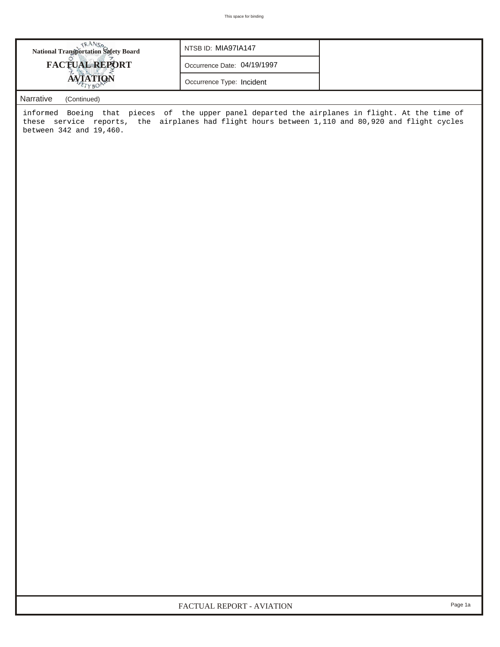| <b>National Transportation Safety Board</b> | NTSB ID: MIA97IA147         |  |
|---------------------------------------------|-----------------------------|--|
| <b>FACTUAL REPORT</b>                       | Occurrence Date: 04/19/1997 |  |
|                                             | Occurrence Type: Incident   |  |

## *Narrative (Continued)*

informed Boeing that pieces of the upper panel departed the airplanes in flight. At the time of these service reports, the airplanes had flight hours between 1,110 and 80,920 and flight cycles between 342 and 19,460.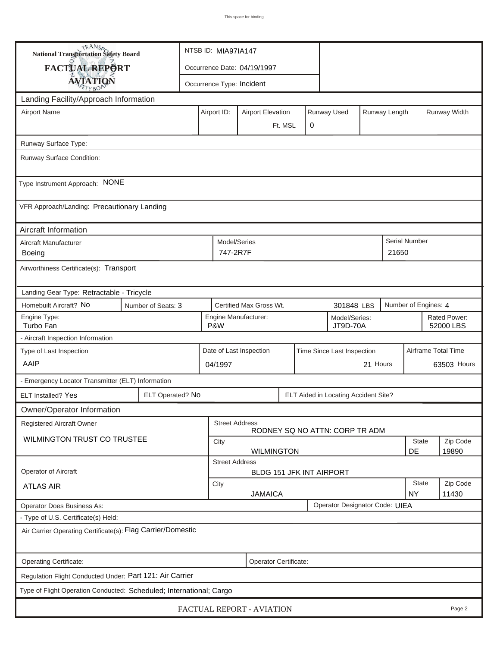| <b>National Transportation Safety Board</b>                         |                    | NTSB ID: MIA97IA147                                      |                         |                                                   |         |   |                                |          |                    |                           |                     |  |
|---------------------------------------------------------------------|--------------------|----------------------------------------------------------|-------------------------|---------------------------------------------------|---------|---|--------------------------------|----------|--------------------|---------------------------|---------------------|--|
| <b>FACTUAL REPORT</b>                                               |                    |                                                          |                         | Occurrence Date: 04/19/1997                       |         |   |                                |          |                    |                           |                     |  |
| <b>AVIATION</b>                                                     |                    | Occurrence Type: Incident                                |                         |                                                   |         |   |                                |          |                    |                           |                     |  |
| Landing Facility/Approach Information                               |                    |                                                          |                         |                                                   |         |   |                                |          |                    |                           |                     |  |
| <b>Airport Name</b>                                                 |                    |                                                          | Airport ID:             | <b>Airport Elevation</b>                          |         |   | Runway Used                    |          | Runway Length      |                           | Runway Width        |  |
|                                                                     |                    |                                                          |                         |                                                   | Ft. MSL | 0 |                                |          |                    |                           |                     |  |
| Runway Surface Type:                                                |                    |                                                          |                         |                                                   |         |   |                                |          |                    |                           |                     |  |
| Runway Surface Condition:                                           |                    |                                                          |                         |                                                   |         |   |                                |          |                    |                           |                     |  |
| Type Instrument Approach: NONE                                      |                    |                                                          |                         |                                                   |         |   |                                |          |                    |                           |                     |  |
| VFR Approach/Landing: Precautionary Landing                         |                    |                                                          |                         |                                                   |         |   |                                |          |                    |                           |                     |  |
| Aircraft Information                                                |                    |                                                          |                         |                                                   |         |   |                                |          |                    |                           |                     |  |
| Aircraft Manufacturer<br>Boeing                                     |                    |                                                          |                         | Model/Series<br>747-2R7F                          |         |   |                                |          | 21650              | <b>Serial Number</b>      |                     |  |
| Airworthiness Certificate(s): Transport                             |                    |                                                          |                         |                                                   |         |   |                                |          |                    |                           |                     |  |
| Landing Gear Type: Retractable - Tricycle                           |                    |                                                          |                         |                                                   |         |   |                                |          |                    |                           |                     |  |
| Homebuilt Aircraft? No                                              | Number of Seats: 3 |                                                          |                         | Certified Max Gross Wt.                           |         |   | 301848 LBS                     |          |                    | Number of Engines: 4      |                     |  |
| Engine Type:<br>Turbo Fan                                           |                    |                                                          | P&W                     | Engine Manufacturer:<br>Model/Series:<br>JT9D-70A |         |   |                                |          |                    | Rated Power:<br>52000 LBS |                     |  |
| - Aircraft Inspection Information                                   |                    |                                                          |                         |                                                   |         |   |                                |          |                    |                           |                     |  |
| Type of Last Inspection                                             |                    |                                                          | Date of Last Inspection |                                                   |         |   | Time Since Last Inspection     |          |                    |                           | Airframe Total Time |  |
| AAIP                                                                |                    |                                                          | 04/1997                 |                                                   |         |   |                                | 21 Hours |                    |                           | 63503 Hours         |  |
| - Emergency Locator Transmitter (ELT) Information                   |                    |                                                          |                         |                                                   |         |   |                                |          |                    |                           |                     |  |
| ELT Installed? Yes                                                  |                    | ELT Operated? No<br>ELT Aided in Locating Accident Site? |                         |                                                   |         |   |                                |          |                    |                           |                     |  |
| Owner/Operator Information                                          |                    |                                                          |                         |                                                   |         |   |                                |          |                    |                           |                     |  |
| <b>Registered Aircraft Owner</b>                                    |                    |                                                          | <b>Street Address</b>   |                                                   |         |   | RODNEY SQ NO ATTN: CORP TR ADM |          |                    |                           |                     |  |
| <b>WILMINGTON TRUST CO TRUSTEE</b>                                  |                    |                                                          | City                    |                                                   |         |   |                                |          | <b>State</b>       | Zip Code                  |                     |  |
|                                                                     |                    |                                                          | <b>Street Address</b>   | <b>WILMINGTON</b>                                 |         |   |                                |          |                    | DE                        | 19890               |  |
| <b>Operator of Aircraft</b>                                         |                    |                                                          |                         | BLDG 151 JFK INT AIRPORT                          |         |   |                                |          |                    |                           |                     |  |
| <b>ATLAS AIR</b>                                                    |                    |                                                          | City<br><b>JAMAICA</b>  |                                                   |         |   |                                |          | State<br><b>NY</b> | Zip Code<br>11430         |                     |  |
| Operator Does Business As:                                          |                    |                                                          |                         |                                                   |         |   | Operator Designator Code: UIEA |          |                    |                           |                     |  |
| - Type of U.S. Certificate(s) Held:                                 |                    |                                                          |                         |                                                   |         |   |                                |          |                    |                           |                     |  |
| Air Carrier Operating Certificate(s): Flag Carrier/Domestic         |                    |                                                          |                         |                                                   |         |   |                                |          |                    |                           |                     |  |
| Operating Certificate:                                              |                    |                                                          |                         | Operator Certificate:                             |         |   |                                |          |                    |                           |                     |  |
| Regulation Flight Conducted Under: Part 121: Air Carrier            |                    |                                                          |                         |                                                   |         |   |                                |          |                    |                           |                     |  |
| Type of Flight Operation Conducted: Scheduled; International; Cargo |                    |                                                          |                         |                                                   |         |   |                                |          |                    |                           |                     |  |
|                                                                     |                    |                                                          |                         | FACTUAL REPORT - AVIATION                         |         |   |                                |          |                    |                           | Page 2              |  |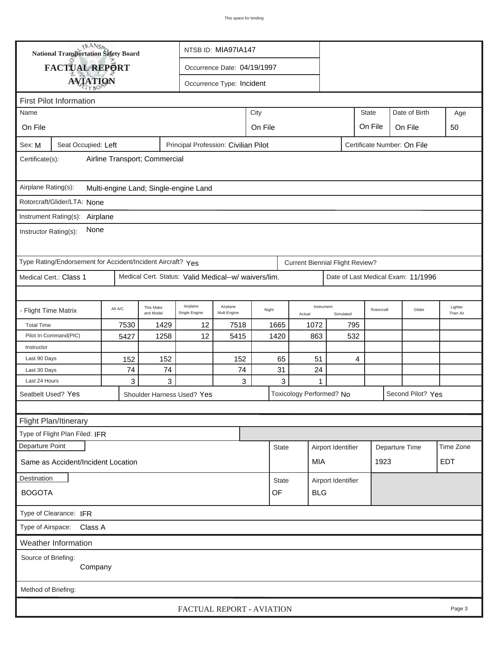|                                                                              | <b>National Transportation Safety Board</b>                                                |         |                        | NTSB ID: MIA97IA147                                  |                                     |       |              |                                        |                         |     |              |                                    |                     |
|------------------------------------------------------------------------------|--------------------------------------------------------------------------------------------|---------|------------------------|------------------------------------------------------|-------------------------------------|-------|--------------|----------------------------------------|-------------------------|-----|--------------|------------------------------------|---------------------|
|                                                                              | FACTUAL REPORT                                                                             |         |                        |                                                      | Occurrence Date: 04/19/1997         |       |              |                                        |                         |     |              |                                    |                     |
|                                                                              |                                                                                            |         |                        |                                                      | Occurrence Type: Incident           |       |              |                                        |                         |     |              |                                    |                     |
|                                                                              | <b>AVIATION</b>                                                                            |         |                        |                                                      |                                     |       |              |                                        |                         |     |              |                                    |                     |
|                                                                              | <b>First Pilot Information</b>                                                             |         |                        |                                                      |                                     |       |              |                                        |                         |     |              |                                    |                     |
| Name                                                                         |                                                                                            |         |                        |                                                      |                                     | City  |              |                                        |                         |     | <b>State</b> | Date of Birth                      | Age                 |
| On File                                                                      |                                                                                            |         |                        |                                                      | On File<br>On File<br>On File<br>50 |       |              |                                        |                         |     |              |                                    |                     |
| Sex: M                                                                       | Seat Occupied: Left<br>Principal Profession: Civilian Pilot<br>Certificate Number: On File |         |                        |                                                      |                                     |       |              |                                        |                         |     |              |                                    |                     |
| Airline Transport; Commercial<br>Certificate(s):                             |                                                                                            |         |                        |                                                      |                                     |       |              |                                        |                         |     |              |                                    |                     |
| Airplane Rating(s):                                                          |                                                                                            |         |                        | Multi-engine Land; Single-engine Land                |                                     |       |              |                                        |                         |     |              |                                    |                     |
|                                                                              | Rotorcraft/Glider/LTA: None                                                                |         |                        |                                                      |                                     |       |              |                                        |                         |     |              |                                    |                     |
|                                                                              | Instrument Rating(s): Airplane                                                             |         |                        |                                                      |                                     |       |              |                                        |                         |     |              |                                    |                     |
| Instructor Rating(s):                                                        | None                                                                                       |         |                        |                                                      |                                     |       |              |                                        |                         |     |              |                                    |                     |
|                                                                              | Type Rating/Endorsement for Accident/Incident Aircraft? Yes                                |         |                        |                                                      |                                     |       |              | <b>Current Biennial Flight Review?</b> |                         |     |              |                                    |                     |
|                                                                              | Medical Cert.: Class 1                                                                     |         |                        | Medical Cert. Status: Valid Medical--w/ waivers/lim. |                                     |       |              |                                        |                         |     |              | Date of Last Medical Exam: 11/1996 |                     |
|                                                                              |                                                                                            |         |                        |                                                      |                                     |       |              |                                        |                         |     |              |                                    |                     |
| - Flight Time Matrix                                                         |                                                                                            | All A/C | This Make<br>and Model | Airplane<br>Single Engine                            | Airplane<br>Mult-Engine             | Night |              | Actual                                 | Instrument<br>Simulated |     | Rotorcraft   | Glider                             | Lighter<br>Than Air |
| <b>Total Time</b>                                                            |                                                                                            | 7530    | 1429                   | 12                                                   | 7518                                |       | 1665         | 1072                                   |                         | 795 |              |                                    |                     |
|                                                                              | Pilot In Command(PIC)                                                                      | 5427    | 1258                   | 12                                                   | 5415                                | 1420  |              | 863                                    |                         | 532 |              |                                    |                     |
| Instructor                                                                   |                                                                                            |         |                        |                                                      |                                     |       |              |                                        |                         |     |              |                                    |                     |
| Last 90 Days                                                                 |                                                                                            | 152     | 152                    |                                                      | 152                                 |       | 65           | 51                                     |                         | 4   |              |                                    |                     |
| Last 30 Days                                                                 |                                                                                            | 74      | 74                     |                                                      | 74                                  |       | 31           | 24                                     |                         |     |              |                                    |                     |
| Last 24 Hours                                                                |                                                                                            | 3       | 3                      |                                                      | 3                                   |       | 3            | 1                                      |                         |     |              |                                    |                     |
| Seatbelt Used? Yes<br>Toxicology Performed? No<br>Shoulder Harness Used? Yes |                                                                                            |         |                        |                                                      |                                     |       |              |                                        | Second Pilot? Yes       |     |              |                                    |                     |
|                                                                              |                                                                                            |         |                        |                                                      |                                     |       |              |                                        |                         |     |              |                                    |                     |
|                                                                              | Flight Plan/Itinerary                                                                      |         |                        |                                                      |                                     |       |              |                                        |                         |     |              |                                    |                     |
|                                                                              | Type of Flight Plan Filed: IFR                                                             |         |                        |                                                      |                                     |       |              |                                        |                         |     |              |                                    |                     |
| Departure Point<br>Airport Identifier<br>Departure Time<br><b>State</b>      |                                                                                            |         |                        |                                                      | Time Zone                           |       |              |                                        |                         |     |              |                                    |                     |
|                                                                              | Same as Accident/Incident Location                                                         |         |                        |                                                      |                                     |       |              | MIA                                    |                         |     | 1923         |                                    | <b>EDT</b>          |
| <b>Destination</b>                                                           |                                                                                            |         |                        |                                                      |                                     |       | <b>State</b> |                                        | Airport Identifier      |     |              |                                    |                     |
| <b>BOGOTA</b>                                                                |                                                                                            |         |                        |                                                      |                                     | OF    | <b>BLG</b>   |                                        |                         |     |              |                                    |                     |
|                                                                              | Type of Clearance: IFR                                                                     |         |                        |                                                      |                                     |       |              |                                        |                         |     |              |                                    |                     |
|                                                                              | Type of Airspace: Class A                                                                  |         |                        |                                                      |                                     |       |              |                                        |                         |     |              |                                    |                     |
|                                                                              | Weather Information                                                                        |         |                        |                                                      |                                     |       |              |                                        |                         |     |              |                                    |                     |
| Source of Briefing:                                                          | Company                                                                                    |         |                        |                                                      |                                     |       |              |                                        |                         |     |              |                                    |                     |
| Method of Briefing:                                                          |                                                                                            |         |                        |                                                      |                                     |       |              |                                        |                         |     |              |                                    |                     |
|                                                                              |                                                                                            |         |                        | FACTUAL REPORT - AVIATION                            |                                     |       |              |                                        |                         |     |              |                                    | Page 3              |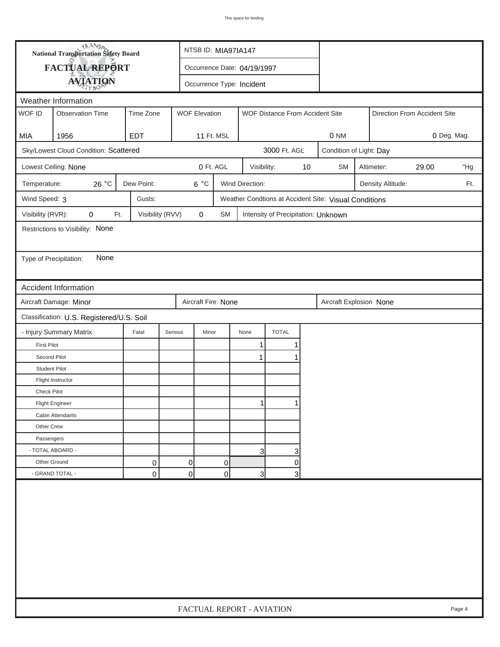| <b>National Transportation Safety Board</b><br>FACTUAL REPORT<br>Occurrence Date: 04/19/1997<br><b>AVIATION</b><br>Occurrence Type: Incident<br>Weather Information<br>WOF ID<br><b>WOF Elevation</b><br><b>Observation Time</b><br>Time Zone<br>WOF Distance From Accident Site<br>Direction From Accident Site<br>1956<br><b>EDT</b><br>11 Ft. MSL<br>0 NM<br>MIA<br>3000 Ft. AGL<br>Sky/Lowest Cloud Condition: Scattered<br>Condition of Light: Day<br>0 Ft. AGL<br>Lowest Ceiling: None<br>Visibility:<br>10<br><b>SM</b><br>Altimeter:<br>29.00<br>26 °C<br>Dew Point:<br>$6^{\circ}$ C<br>Wind Direction:<br>Temperature:<br>Density Altitude:<br>Wind Speed: 3<br>Gusts:<br>Weather Condtions at Accident Site: Visual Conditions<br>Visibility (RVR):<br>0<br>Visibility (RVV)<br>$\pmb{0}$<br>Ft.<br>SM<br>Intensity of Precipitation: Unknown<br>Restrictions to Visibility: None<br>None<br>Type of Precipitation:<br><b>Accident Information</b><br>Aircraft Damage: Minor<br>Aircraft Fire: None<br>Aircraft Explosion None<br>Classification: U.S. Registered/U.S. Soil | 0 Deg. Mag.<br>"Hg<br>Ft. |
|----------------------------------------------------------------------------------------------------------------------------------------------------------------------------------------------------------------------------------------------------------------------------------------------------------------------------------------------------------------------------------------------------------------------------------------------------------------------------------------------------------------------------------------------------------------------------------------------------------------------------------------------------------------------------------------------------------------------------------------------------------------------------------------------------------------------------------------------------------------------------------------------------------------------------------------------------------------------------------------------------------------------------------------------------------------------------------------|---------------------------|
|                                                                                                                                                                                                                                                                                                                                                                                                                                                                                                                                                                                                                                                                                                                                                                                                                                                                                                                                                                                                                                                                                        |                           |
|                                                                                                                                                                                                                                                                                                                                                                                                                                                                                                                                                                                                                                                                                                                                                                                                                                                                                                                                                                                                                                                                                        |                           |
|                                                                                                                                                                                                                                                                                                                                                                                                                                                                                                                                                                                                                                                                                                                                                                                                                                                                                                                                                                                                                                                                                        |                           |
|                                                                                                                                                                                                                                                                                                                                                                                                                                                                                                                                                                                                                                                                                                                                                                                                                                                                                                                                                                                                                                                                                        |                           |
|                                                                                                                                                                                                                                                                                                                                                                                                                                                                                                                                                                                                                                                                                                                                                                                                                                                                                                                                                                                                                                                                                        |                           |
|                                                                                                                                                                                                                                                                                                                                                                                                                                                                                                                                                                                                                                                                                                                                                                                                                                                                                                                                                                                                                                                                                        |                           |
|                                                                                                                                                                                                                                                                                                                                                                                                                                                                                                                                                                                                                                                                                                                                                                                                                                                                                                                                                                                                                                                                                        |                           |
|                                                                                                                                                                                                                                                                                                                                                                                                                                                                                                                                                                                                                                                                                                                                                                                                                                                                                                                                                                                                                                                                                        |                           |
|                                                                                                                                                                                                                                                                                                                                                                                                                                                                                                                                                                                                                                                                                                                                                                                                                                                                                                                                                                                                                                                                                        |                           |
|                                                                                                                                                                                                                                                                                                                                                                                                                                                                                                                                                                                                                                                                                                                                                                                                                                                                                                                                                                                                                                                                                        |                           |
|                                                                                                                                                                                                                                                                                                                                                                                                                                                                                                                                                                                                                                                                                                                                                                                                                                                                                                                                                                                                                                                                                        |                           |
|                                                                                                                                                                                                                                                                                                                                                                                                                                                                                                                                                                                                                                                                                                                                                                                                                                                                                                                                                                                                                                                                                        |                           |
|                                                                                                                                                                                                                                                                                                                                                                                                                                                                                                                                                                                                                                                                                                                                                                                                                                                                                                                                                                                                                                                                                        |                           |
|                                                                                                                                                                                                                                                                                                                                                                                                                                                                                                                                                                                                                                                                                                                                                                                                                                                                                                                                                                                                                                                                                        |                           |
|                                                                                                                                                                                                                                                                                                                                                                                                                                                                                                                                                                                                                                                                                                                                                                                                                                                                                                                                                                                                                                                                                        |                           |
|                                                                                                                                                                                                                                                                                                                                                                                                                                                                                                                                                                                                                                                                                                                                                                                                                                                                                                                                                                                                                                                                                        |                           |
|                                                                                                                                                                                                                                                                                                                                                                                                                                                                                                                                                                                                                                                                                                                                                                                                                                                                                                                                                                                                                                                                                        |                           |
|                                                                                                                                                                                                                                                                                                                                                                                                                                                                                                                                                                                                                                                                                                                                                                                                                                                                                                                                                                                                                                                                                        |                           |
| <b>TOTAL</b><br>- Injury Summary Matrix<br>Fatal<br>Serious<br>Minor<br>None                                                                                                                                                                                                                                                                                                                                                                                                                                                                                                                                                                                                                                                                                                                                                                                                                                                                                                                                                                                                           |                           |
| <b>First Pilot</b><br>1<br>1                                                                                                                                                                                                                                                                                                                                                                                                                                                                                                                                                                                                                                                                                                                                                                                                                                                                                                                                                                                                                                                           |                           |
| Second Pilot<br>$\mathbf 1$                                                                                                                                                                                                                                                                                                                                                                                                                                                                                                                                                                                                                                                                                                                                                                                                                                                                                                                                                                                                                                                            |                           |
| <b>Student Pilot</b>                                                                                                                                                                                                                                                                                                                                                                                                                                                                                                                                                                                                                                                                                                                                                                                                                                                                                                                                                                                                                                                                   |                           |
| Flight Instructor                                                                                                                                                                                                                                                                                                                                                                                                                                                                                                                                                                                                                                                                                                                                                                                                                                                                                                                                                                                                                                                                      |                           |
| <b>Check Pilot</b>                                                                                                                                                                                                                                                                                                                                                                                                                                                                                                                                                                                                                                                                                                                                                                                                                                                                                                                                                                                                                                                                     |                           |
| 1<br><b>Flight Engineer</b>                                                                                                                                                                                                                                                                                                                                                                                                                                                                                                                                                                                                                                                                                                                                                                                                                                                                                                                                                                                                                                                            |                           |
| Cabin Attendants                                                                                                                                                                                                                                                                                                                                                                                                                                                                                                                                                                                                                                                                                                                                                                                                                                                                                                                                                                                                                                                                       |                           |
| Other Crew                                                                                                                                                                                                                                                                                                                                                                                                                                                                                                                                                                                                                                                                                                                                                                                                                                                                                                                                                                                                                                                                             |                           |
| Passengers                                                                                                                                                                                                                                                                                                                                                                                                                                                                                                                                                                                                                                                                                                                                                                                                                                                                                                                                                                                                                                                                             |                           |
| - TOTAL ABOARD -<br>3<br>3                                                                                                                                                                                                                                                                                                                                                                                                                                                                                                                                                                                                                                                                                                                                                                                                                                                                                                                                                                                                                                                             |                           |
| Other Ground<br>0<br>0<br>0<br>0                                                                                                                                                                                                                                                                                                                                                                                                                                                                                                                                                                                                                                                                                                                                                                                                                                                                                                                                                                                                                                                       |                           |
| - GRAND TOTAL -<br>$\overline{0}$<br>0<br>0<br>$\overline{3}$<br>3                                                                                                                                                                                                                                                                                                                                                                                                                                                                                                                                                                                                                                                                                                                                                                                                                                                                                                                                                                                                                     |                           |